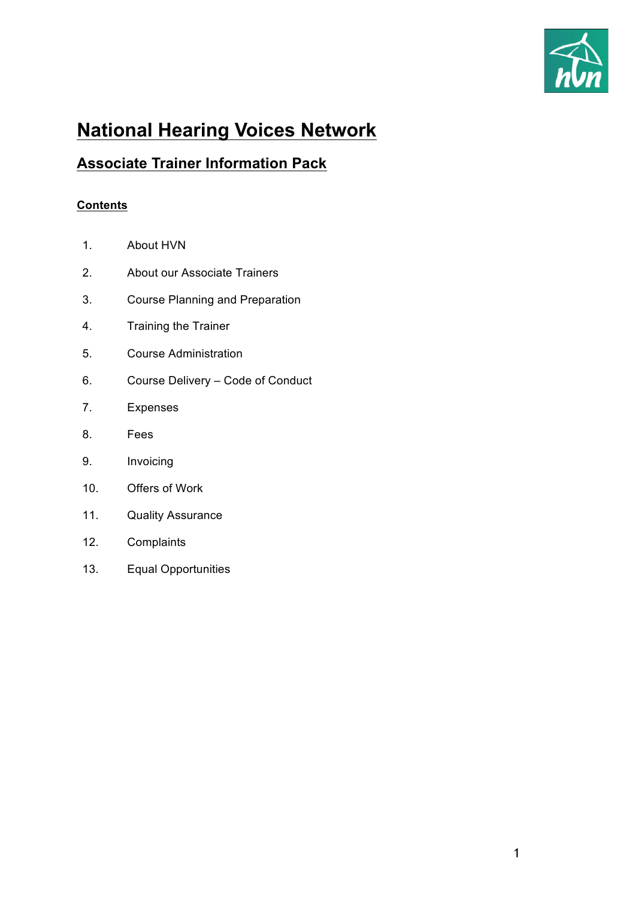

# **National Hearing Voices Network**

# **Associate Trainer Information Pack**

# **Contents**

- 1. About HVN
- 2. About our Associate Trainers
- 3. Course Planning and Preparation
- 4. Training the Trainer
- 5. Course Administration
- 6. Course Delivery Code of Conduct
- 7. Expenses
- 8. Fees
- 9. Invoicing
- 10. Offers of Work
- 11. Quality Assurance
- 12. Complaints
- 13. Equal Opportunities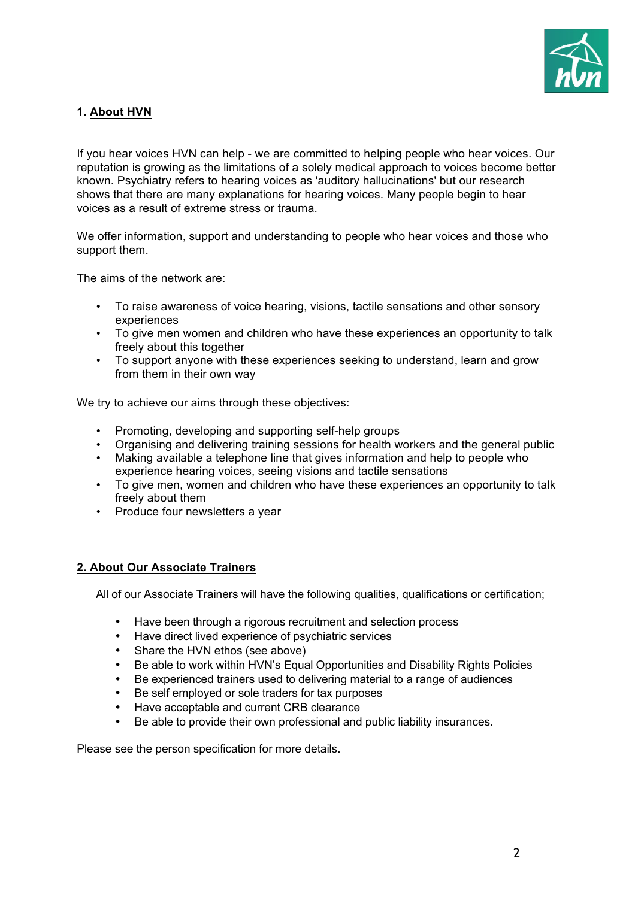

# **1. About HVN**

If you hear voices HVN can help - we are committed to helping people who hear voices. Our reputation is growing as the limitations of a solely medical approach to voices become better known. Psychiatry refers to hearing voices as 'auditory hallucinations' but our research shows that there are many explanations for hearing voices. Many people begin to hear voices as a result of extreme stress or trauma.

We offer information, support and understanding to people who hear voices and those who support them.

The aims of the network are:

- To raise awareness of voice hearing, visions, tactile sensations and other sensory experiences
- To give men women and children who have these experiences an opportunity to talk freely about this together
- To support anyone with these experiences seeking to understand, learn and grow from them in their own way

We try to achieve our aims through these objectives:

- Promoting, developing and supporting self-help groups
- Organising and delivering training sessions for health workers and the general public
- Making available a telephone line that gives information and help to people who experience hearing voices, seeing visions and tactile sensations
- To give men, women and children who have these experiences an opportunity to talk freely about them
- Produce four newsletters a year

#### **2. About Our Associate Trainers**

All of our Associate Trainers will have the following qualities, qualifications or certification;

- Have been through a rigorous recruitment and selection process
- Have direct lived experience of psychiatric services
- Share the HVN ethos (see above)
- Be able to work within HVN's Equal Opportunities and Disability Rights Policies
- Be experienced trainers used to delivering material to a range of audiences
- Be self employed or sole traders for tax purposes
- Have acceptable and current CRB clearance
- Be able to provide their own professional and public liability insurances.

Please see the person specification for more details.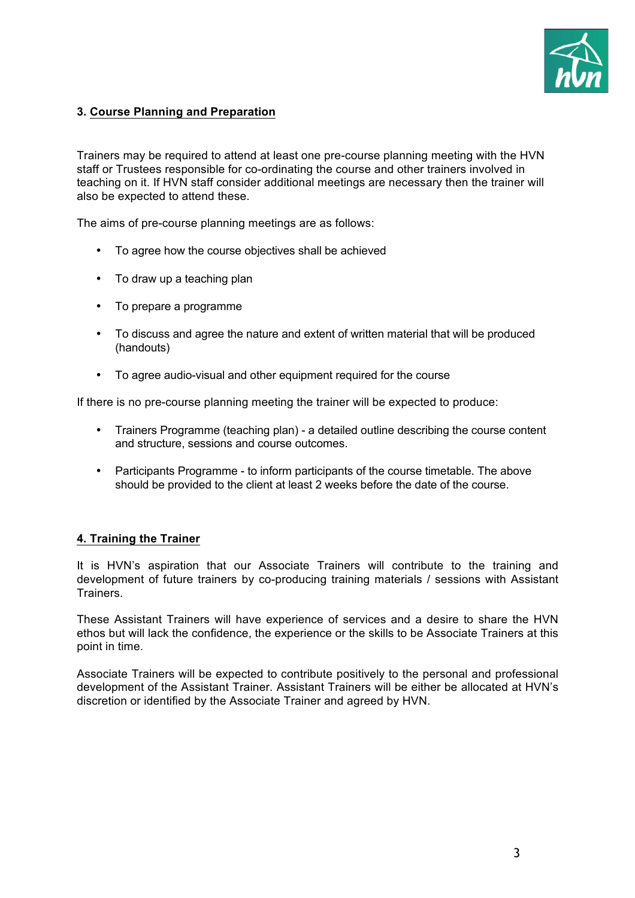

# **3. Course Planning and Preparation**

Trainers may be required to attend at least one pre-course planning meeting with the HVN staff or Trustees responsible for co-ordinating the course and other trainers involved in teaching on it. If HVN staff consider additional meetings are necessary then the trainer will also be expected to attend these.

The aims of pre-course planning meetings are as follows:

- To agree how the course objectives shall be achieved
- To draw up a teaching plan
- To prepare a programme
- To discuss and agree the nature and extent of written material that will be produced (handouts)
- To agree audio-visual and other equipment required for the course

If there is no pre-course planning meeting the trainer will be expected to produce:

- Trainers Programme (teaching plan) a detailed outline describing the course content and structure, sessions and course outcomes.
- Participants Programme to inform participants of the course timetable. The above should be provided to the client at least 2 weeks before the date of the course.

#### **4. Training the Trainer**

It is HVN's aspiration that our Associate Trainers will contribute to the training and development of future trainers by co-producing training materials / sessions with Assistant **Trainers** 

These Assistant Trainers will have experience of services and a desire to share the HVN ethos but will lack the confidence, the experience or the skills to be Associate Trainers at this point in time.

Associate Trainers will be expected to contribute positively to the personal and professional development of the Assistant Trainer. Assistant Trainers will be either be allocated at HVN's discretion or identified by the Associate Trainer and agreed by HVN.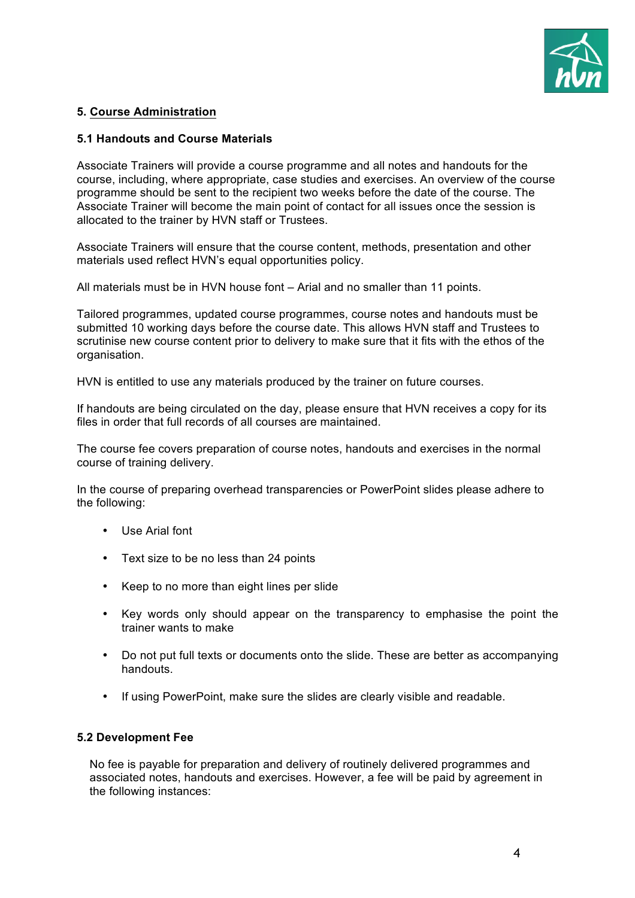

# **5. Course Administration**

#### **5.1 Handouts and Course Materials**

Associate Trainers will provide a course programme and all notes and handouts for the course, including, where appropriate, case studies and exercises. An overview of the course programme should be sent to the recipient two weeks before the date of the course. The Associate Trainer will become the main point of contact for all issues once the session is allocated to the trainer by HVN staff or Trustees.

Associate Trainers will ensure that the course content, methods, presentation and other materials used reflect HVN's equal opportunities policy.

All materials must be in HVN house font – Arial and no smaller than 11 points.

Tailored programmes, updated course programmes, course notes and handouts must be submitted 10 working days before the course date. This allows HVN staff and Trustees to scrutinise new course content prior to delivery to make sure that it fits with the ethos of the organisation.

HVN is entitled to use any materials produced by the trainer on future courses.

If handouts are being circulated on the day, please ensure that HVN receives a copy for its files in order that full records of all courses are maintained.

The course fee covers preparation of course notes, handouts and exercises in the normal course of training delivery.

In the course of preparing overhead transparencies or PowerPoint slides please adhere to the following:

- Use Arial font
- Text size to be no less than 24 points
- Keep to no more than eight lines per slide
- Key words only should appear on the transparency to emphasise the point the trainer wants to make
- Do not put full texts or documents onto the slide. These are better as accompanying handouts.
- If using PowerPoint, make sure the slides are clearly visible and readable.

# **5.2 Development Fee**

No fee is payable for preparation and delivery of routinely delivered programmes and associated notes, handouts and exercises. However, a fee will be paid by agreement in the following instances: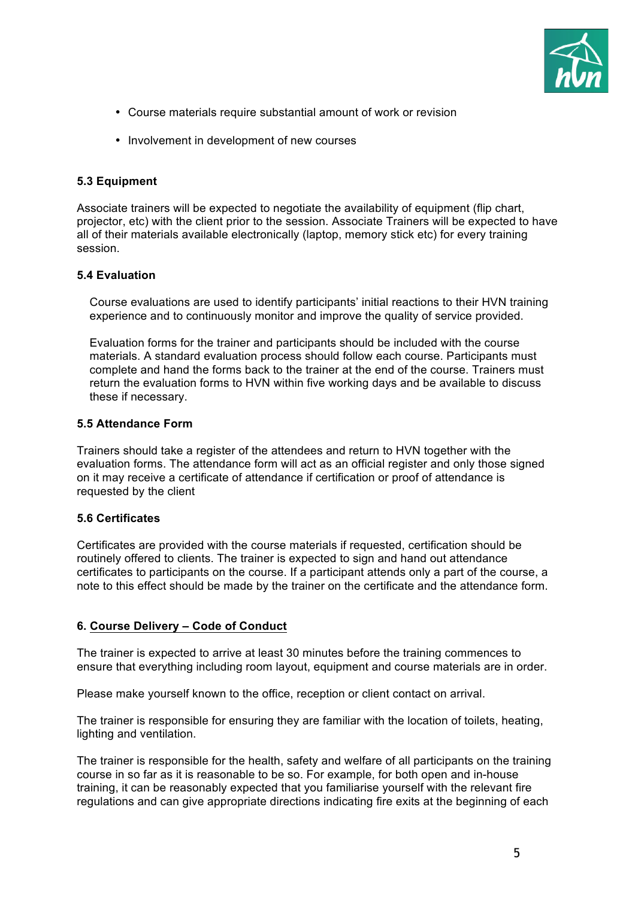

- Course materials require substantial amount of work or revision
- Involvement in development of new courses

### **5.3 Equipment**

Associate trainers will be expected to negotiate the availability of equipment (flip chart, projector, etc) with the client prior to the session. Associate Trainers will be expected to have all of their materials available electronically (laptop, memory stick etc) for every training session.

#### **5.4 Evaluation**

Course evaluations are used to identify participants' initial reactions to their HVN training experience and to continuously monitor and improve the quality of service provided.

Evaluation forms for the trainer and participants should be included with the course materials. A standard evaluation process should follow each course. Participants must complete and hand the forms back to the trainer at the end of the course. Trainers must return the evaluation forms to HVN within five working days and be available to discuss these if necessary.

#### **5.5 Attendance Form**

Trainers should take a register of the attendees and return to HVN together with the evaluation forms. The attendance form will act as an official register and only those signed on it may receive a certificate of attendance if certification or proof of attendance is requested by the client

#### **5.6 Certificates**

Certificates are provided with the course materials if requested, certification should be routinely offered to clients. The trainer is expected to sign and hand out attendance certificates to participants on the course. If a participant attends only a part of the course, a note to this effect should be made by the trainer on the certificate and the attendance form.

#### **6. Course Delivery – Code of Conduct**

The trainer is expected to arrive at least 30 minutes before the training commences to ensure that everything including room layout, equipment and course materials are in order.

Please make yourself known to the office, reception or client contact on arrival.

The trainer is responsible for ensuring they are familiar with the location of toilets, heating, lighting and ventilation.

The trainer is responsible for the health, safety and welfare of all participants on the training course in so far as it is reasonable to be so. For example, for both open and in-house training, it can be reasonably expected that you familiarise yourself with the relevant fire regulations and can give appropriate directions indicating fire exits at the beginning of each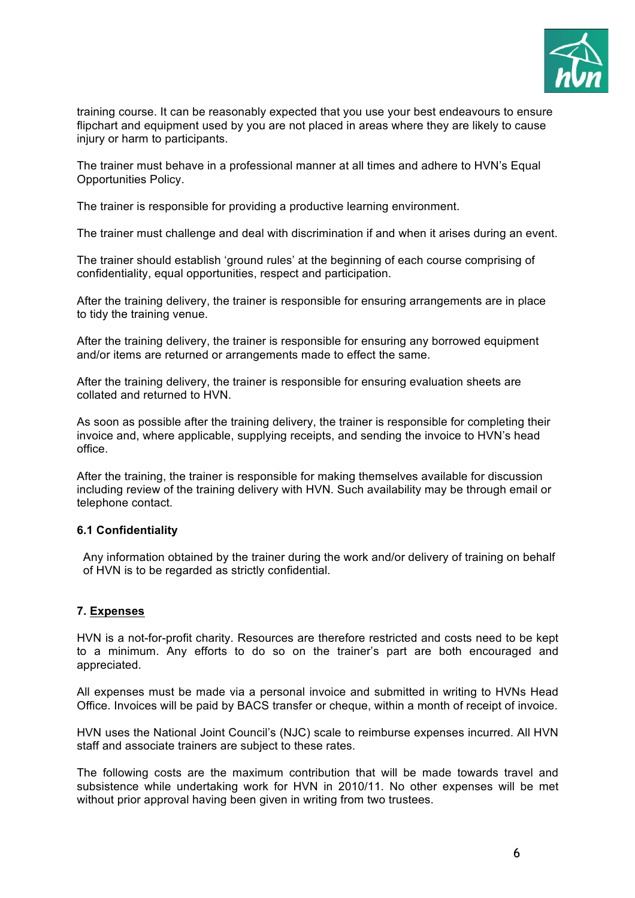

training course. It can be reasonably expected that you use your best endeavours to ensure flipchart and equipment used by you are not placed in areas where they are likely to cause injury or harm to participants.

The trainer must behave in a professional manner at all times and adhere to HVN's Equal Opportunities Policy.

The trainer is responsible for providing a productive learning environment.

The trainer must challenge and deal with discrimination if and when it arises during an event.

The trainer should establish 'ground rules' at the beginning of each course comprising of confidentiality, equal opportunities, respect and participation.

After the training delivery, the trainer is responsible for ensuring arrangements are in place to tidy the training venue.

After the training delivery, the trainer is responsible for ensuring any borrowed equipment and/or items are returned or arrangements made to effect the same.

After the training delivery, the trainer is responsible for ensuring evaluation sheets are collated and returned to HVN.

As soon as possible after the training delivery, the trainer is responsible for completing their invoice and, where applicable, supplying receipts, and sending the invoice to HVN's head office.

After the training, the trainer is responsible for making themselves available for discussion including review of the training delivery with HVN. Such availability may be through email or telephone contact.

#### **6.1 Confidentiality**

Any information obtained by the trainer during the work and/or delivery of training on behalf of HVN is to be regarded as strictly confidential.

#### **7. Expenses**

HVN is a not-for-profit charity. Resources are therefore restricted and costs need to be kept to a minimum. Any efforts to do so on the trainer's part are both encouraged and appreciated.

All expenses must be made via a personal invoice and submitted in writing to HVNs Head Office. Invoices will be paid by BACS transfer or cheque, within a month of receipt of invoice.

HVN uses the National Joint Council's (NJC) scale to reimburse expenses incurred. All HVN staff and associate trainers are subject to these rates.

The following costs are the maximum contribution that will be made towards travel and subsistence while undertaking work for HVN in 2010/11. No other expenses will be met without prior approval having been given in writing from two trustees.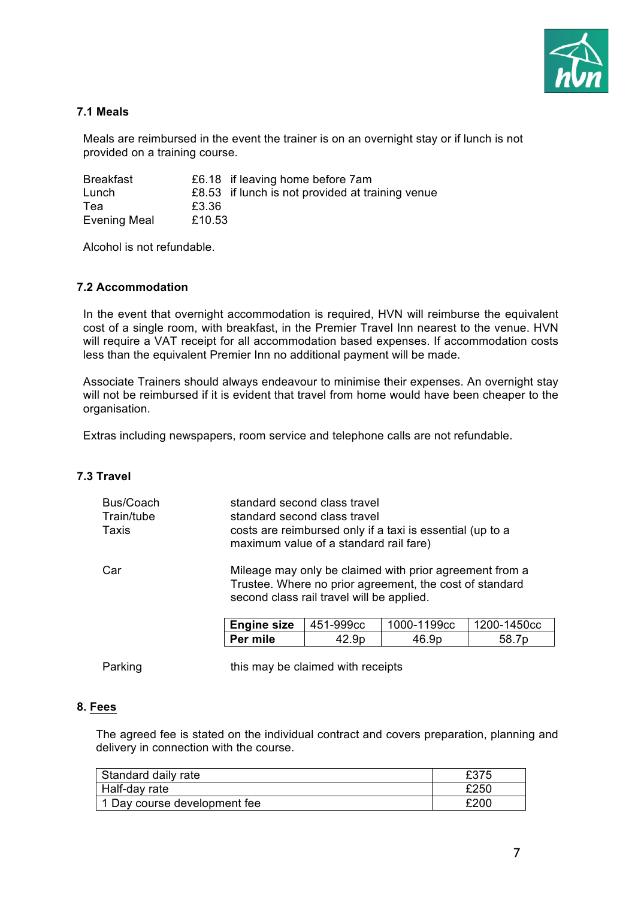

# **7.1 Meals**

Meals are reimbursed in the event the trainer is on an overnight stay or if lunch is not provided on a training course.

| <b>Breakfast</b>    |        | £6.18 if leaving home before 7am                 |
|---------------------|--------|--------------------------------------------------|
| Lunch               |        | £8.53 if lunch is not provided at training venue |
| Tea                 | £3.36  |                                                  |
| <b>Evening Meal</b> | £10.53 |                                                  |

Alcohol is not refundable.

#### **7.2 Accommodation**

In the event that overnight accommodation is required, HVN will reimburse the equivalent cost of a single room, with breakfast, in the Premier Travel Inn nearest to the venue. HVN will require a VAT receipt for all accommodation based expenses. If accommodation costs less than the equivalent Premier Inn no additional payment will be made.

Associate Trainers should always endeavour to minimise their expenses. An overnight stay will not be reimbursed if it is evident that travel from home would have been cheaper to the organisation.

Extras including newspapers, room service and telephone calls are not refundable.

#### **7.3 Travel**

| Bus/Coach<br>Train/tube<br>Taxis |                    | standard second class travel<br>standard second class travel<br>costs are reimbursed only if a taxi is essential (up to a<br>maximum value of a standard rail fare) |             |             |  |  |
|----------------------------------|--------------------|---------------------------------------------------------------------------------------------------------------------------------------------------------------------|-------------|-------------|--|--|
| Car                              |                    | Mileage may only be claimed with prior agreement from a<br>Trustee. Where no prior agreement, the cost of standard<br>second class rail travel will be applied.     |             |             |  |  |
|                                  | <b>Engine size</b> | 451-999cc                                                                                                                                                           | 1000-1199cc | 1200-1450cc |  |  |
|                                  | Per mile           | 42.9p                                                                                                                                                               | 46.9p       | 58.7p       |  |  |
|                                  |                    |                                                                                                                                                                     |             |             |  |  |

Parking this may be claimed with receipts

#### **8. Fees**

The agreed fee is stated on the individual contract and covers preparation, planning and delivery in connection with the course.

| Standard daily rate          | £375 |
|------------------------------|------|
| Half-day rate                | £250 |
| 1 Day course development fee | £200 |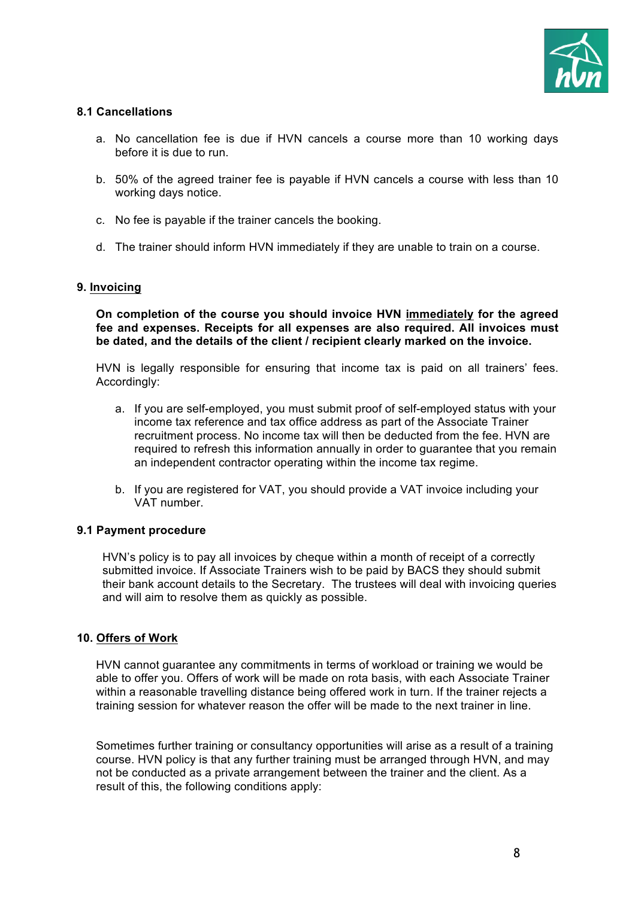

# **8.1 Cancellations**

- a. No cancellation fee is due if HVN cancels a course more than 10 working days before it is due to run.
- b. 50% of the agreed trainer fee is payable if HVN cancels a course with less than 10 working days notice.
- c. No fee is payable if the trainer cancels the booking.
- d. The trainer should inform HVN immediately if they are unable to train on a course.

#### **9. Invoicing**

**On completion of the course you should invoice HVN immediately for the agreed fee and expenses. Receipts for all expenses are also required. All invoices must be dated, and the details of the client / recipient clearly marked on the invoice.**

HVN is legally responsible for ensuring that income tax is paid on all trainers' fees. Accordingly:

- a. If you are self-employed, you must submit proof of self-employed status with your income tax reference and tax office address as part of the Associate Trainer recruitment process. No income tax will then be deducted from the fee. HVN are required to refresh this information annually in order to guarantee that you remain an independent contractor operating within the income tax regime.
- b. If you are registered for VAT, you should provide a VAT invoice including your VAT number.

#### **9.1 Payment procedure**

HVN's policy is to pay all invoices by cheque within a month of receipt of a correctly submitted invoice. If Associate Trainers wish to be paid by BACS they should submit their bank account details to the Secretary. The trustees will deal with invoicing queries and will aim to resolve them as quickly as possible.

#### **10. Offers of Work**

HVN cannot guarantee any commitments in terms of workload or training we would be able to offer you. Offers of work will be made on rota basis, with each Associate Trainer within a reasonable travelling distance being offered work in turn. If the trainer rejects a training session for whatever reason the offer will be made to the next trainer in line.

Sometimes further training or consultancy opportunities will arise as a result of a training course. HVN policy is that any further training must be arranged through HVN, and may not be conducted as a private arrangement between the trainer and the client. As a result of this, the following conditions apply: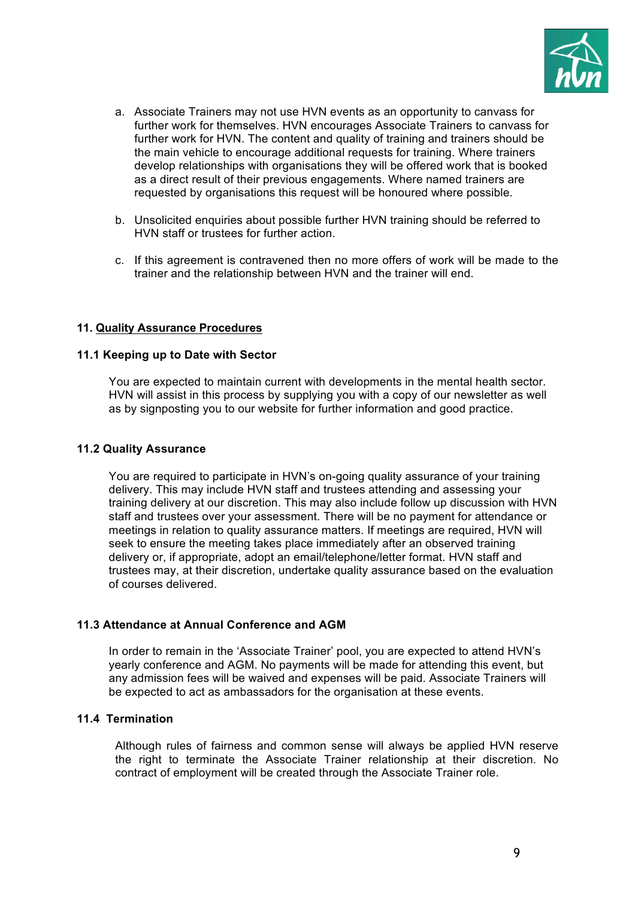

- a. Associate Trainers may not use HVN events as an opportunity to canvass for further work for themselves. HVN encourages Associate Trainers to canvass for further work for HVN. The content and quality of training and trainers should be the main vehicle to encourage additional requests for training. Where trainers develop relationships with organisations they will be offered work that is booked as a direct result of their previous engagements. Where named trainers are requested by organisations this request will be honoured where possible.
- b. Unsolicited enquiries about possible further HVN training should be referred to HVN staff or trustees for further action.
- c. If this agreement is contravened then no more offers of work will be made to the trainer and the relationship between HVN and the trainer will end.

#### **11. Quality Assurance Procedures**

#### **11.1 Keeping up to Date with Sector**

You are expected to maintain current with developments in the mental health sector. HVN will assist in this process by supplying you with a copy of our newsletter as well as by signposting you to our website for further information and good practice.

#### **11.2 Quality Assurance**

You are required to participate in HVN's on-going quality assurance of your training delivery. This may include HVN staff and trustees attending and assessing your training delivery at our discretion. This may also include follow up discussion with HVN staff and trustees over your assessment. There will be no payment for attendance or meetings in relation to quality assurance matters. If meetings are required, HVN will seek to ensure the meeting takes place immediately after an observed training delivery or, if appropriate, adopt an email/telephone/letter format. HVN staff and trustees may, at their discretion, undertake quality assurance based on the evaluation of courses delivered.

#### **11.3 Attendance at Annual Conference and AGM**

In order to remain in the 'Associate Trainer' pool, you are expected to attend HVN's yearly conference and AGM. No payments will be made for attending this event, but any admission fees will be waived and expenses will be paid. Associate Trainers will be expected to act as ambassadors for the organisation at these events.

#### **11.4 Termination**

Although rules of fairness and common sense will always be applied HVN reserve the right to terminate the Associate Trainer relationship at their discretion. No contract of employment will be created through the Associate Trainer role.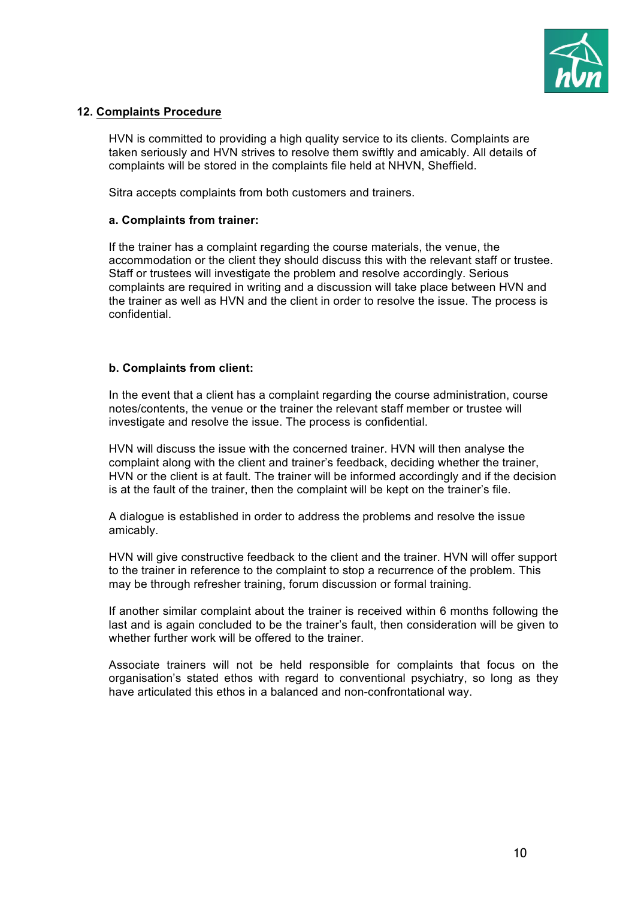

#### **12. Complaints Procedure**

HVN is committed to providing a high quality service to its clients. Complaints are taken seriously and HVN strives to resolve them swiftly and amicably. All details of complaints will be stored in the complaints file held at NHVN, Sheffield.

Sitra accepts complaints from both customers and trainers.

#### **a. Complaints from trainer:**

If the trainer has a complaint regarding the course materials, the venue, the accommodation or the client they should discuss this with the relevant staff or trustee. Staff or trustees will investigate the problem and resolve accordingly. Serious complaints are required in writing and a discussion will take place between HVN and the trainer as well as HVN and the client in order to resolve the issue. The process is confidential.

#### **b. Complaints from client:**

In the event that a client has a complaint regarding the course administration, course notes/contents, the venue or the trainer the relevant staff member or trustee will investigate and resolve the issue. The process is confidential.

HVN will discuss the issue with the concerned trainer. HVN will then analyse the complaint along with the client and trainer's feedback, deciding whether the trainer, HVN or the client is at fault. The trainer will be informed accordingly and if the decision is at the fault of the trainer, then the complaint will be kept on the trainer's file.

A dialogue is established in order to address the problems and resolve the issue amicably.

HVN will give constructive feedback to the client and the trainer. HVN will offer support to the trainer in reference to the complaint to stop a recurrence of the problem. This may be through refresher training, forum discussion or formal training.

If another similar complaint about the trainer is received within 6 months following the last and is again concluded to be the trainer's fault, then consideration will be given to whether further work will be offered to the trainer.

Associate trainers will not be held responsible for complaints that focus on the organisation's stated ethos with regard to conventional psychiatry, so long as they have articulated this ethos in a balanced and non-confrontational way.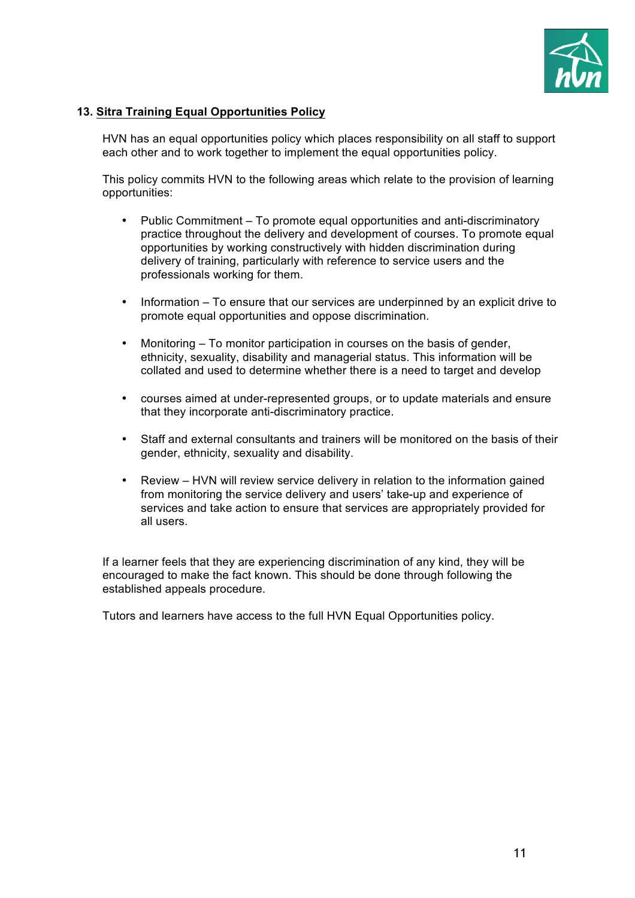

# **13. Sitra Training Equal Opportunities Policy**

HVN has an equal opportunities policy which places responsibility on all staff to support each other and to work together to implement the equal opportunities policy.

This policy commits HVN to the following areas which relate to the provision of learning opportunities:

- Public Commitment To promote equal opportunities and anti-discriminatory practice throughout the delivery and development of courses. To promote equal opportunities by working constructively with hidden discrimination during delivery of training, particularly with reference to service users and the professionals working for them.
- Information To ensure that our services are underpinned by an explicit drive to promote equal opportunities and oppose discrimination.
- Monitoring To monitor participation in courses on the basis of gender, ethnicity, sexuality, disability and managerial status. This information will be collated and used to determine whether there is a need to target and develop
- courses aimed at under-represented groups, or to update materials and ensure that they incorporate anti-discriminatory practice.
- Staff and external consultants and trainers will be monitored on the basis of their gender, ethnicity, sexuality and disability.
- Review HVN will review service delivery in relation to the information gained from monitoring the service delivery and users' take-up and experience of services and take action to ensure that services are appropriately provided for all users.

If a learner feels that they are experiencing discrimination of any kind, they will be encouraged to make the fact known. This should be done through following the established appeals procedure.

Tutors and learners have access to the full HVN Equal Opportunities policy.